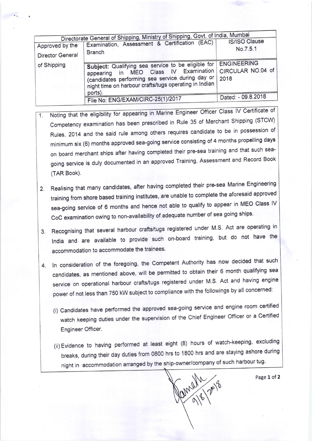| Directorate General of Shipping, Ministry of Shipping, Govt. of India, Mumbai<br><b>IS/ISO Clause</b> |                                                                                                                                                                                                                                 |                           |
|-------------------------------------------------------------------------------------------------------|---------------------------------------------------------------------------------------------------------------------------------------------------------------------------------------------------------------------------------|---------------------------|
| Approved by the                                                                                       | Examination, Assessment & Certification (EAC)                                                                                                                                                                                   | No.7.5.1                  |
| Director General                                                                                      | <b>Branch</b>                                                                                                                                                                                                                   |                           |
| of Shipping                                                                                           | Subject: Qualifying sea service to be eligible for ENGINEERING<br>appearing in MEO Class IV Examination<br>(candidates performing sea service during day or<br>night time on harbour crafts/tugs operating in Indian<br>ports). | CIRCULAR NO.04 of<br>2018 |
|                                                                                                       | File No: ENG/EXAM/CIRC-25(1)/2017                                                                                                                                                                                               | Dated: - 09.8.2018        |

- Noting that the eligibility for appearing in Marine Engineer Officer Class IV Certificate of  $1.$ Competency examination has been prescribed in Rule 35 of Merchant Shipping (STCW) Rules, 2014 and the said rule among others requires candidate to be in possession of minimum six (6) months approved sea-going service consisting of 4 months propelling days on board merchant ships after having completed their pre-sea training and that such seagoing service is duly documented in an approved Training, Assessment and Record Book (TAR Book).
- 2. Realising that many candidates, after having completed their pre-sea Marine Engineering training from shore based training institutes, are unable to complete the aforesaid approved sea-going service of 6 months and hence not able to qualify to appear in MEO Class IV CoC examination owing to non-availability of adequate number of sea going ships.
- 3. Recognising that several harbour crafts/tugs registered under M.S. Act are operating in India and are available to provide such on-board training, but do not have the accommodation to accommodate the trainees.
- 4. In consideration of the foregoing, the Competent Authority has now decided that such candidates, as mentioned above, will be permitted to obtain their 6 month qualifying sea service on operational harbour crafts/tugs registered under M.S. Act and having engine power of not less than 750 kW subject to compliance with the followings by all concerned:
	- (i) Candidates have performed the approved sea-going service and engine room certified watch keeping duties under the supervision of the Chief Engineer Officer or a Certified Engineer Officer.
	- (ii) Evidence to having performed at least eight (8) hours of watch-keeping, excluding breaks, during their day duties from 0800 hrs to 1800 hrs and are staying ashore during night in accommodation arranged by the ship-owner/company of such harbour tug.

Ramall 2 29

Page 1 of 2